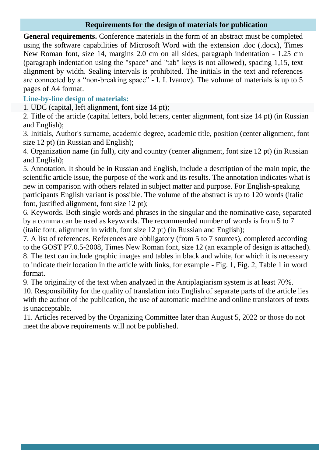## **Requirements for the design of materials for publication**

**General requirements.** Conference materials in the form of an abstract must be completed using the software capabilities of Microsoft Word with the extension .doc (.docx), Times New Roman font, size 14, margins 2.0 cm on all sides, paragraph indentation - 1.25 cm (paragraph indentation using the "space" and "tab" keys is not allowed), spacing 1,15, text alignment by width. Sealing intervals is prohibited. The initials in the text and references are connected by a "non-breaking space" - I. I. Ivanov). The volume of materials is up to 5 pages of A4 format.

## **Line-by-line design of materials:**

1. UDC (capital, left alignment, font size 14 pt);

2. Title of the article (capital letters, bold letters, center alignment, font size 14 pt) (in Russian and English);

3. Initials, Author's surname, academic degree, academic title, position (center alignment, font size 12 pt) (in Russian and English);

4. Organization name (in full), city and country (center alignment, font size 12 pt) (in Russian and English);

5. Annotation. It should be in Russian and English, include a description of the main topic, the scientific article issue, the purpose of the work and its results. The annotation indicates what is new in comparison with others related in subject matter and purpose. For English-speaking participants English variant is possible. The volume of the abstract is up to 120 words (italic font, justified alignment, font size 12 pt);

6. Keywords. Both single words and phrases in the singular and the nominative case, separated by a comma can be used as keywords. The recommended number of words is from 5 to 7 (italic font, alignment in width, font size 12 pt) (in Russian and English);

7. A list of references. References are obbligatory (from 5 to 7 sources), completed according to the GOST P7.0.5-2008, Times New Roman font, size 12 (an example of design is attached). 8. The text can include graphic images and tables in black and white, for which it is necessary to indicate their location in the article with links, for example - Fig. 1, Fig. 2, Table 1 in word format.

9. The originality of the text when analyzed in the Antiplagiarism system is at least 70%.

10. Responsibility for the quality of translation into English of separate parts of the article lies with the author of the publication, the use of automatic machine and online translators of texts is unacceptable.

11. Articles received by the Organizing Committee later than August 5, 2022 or those do not meet the above requirements will not be published.